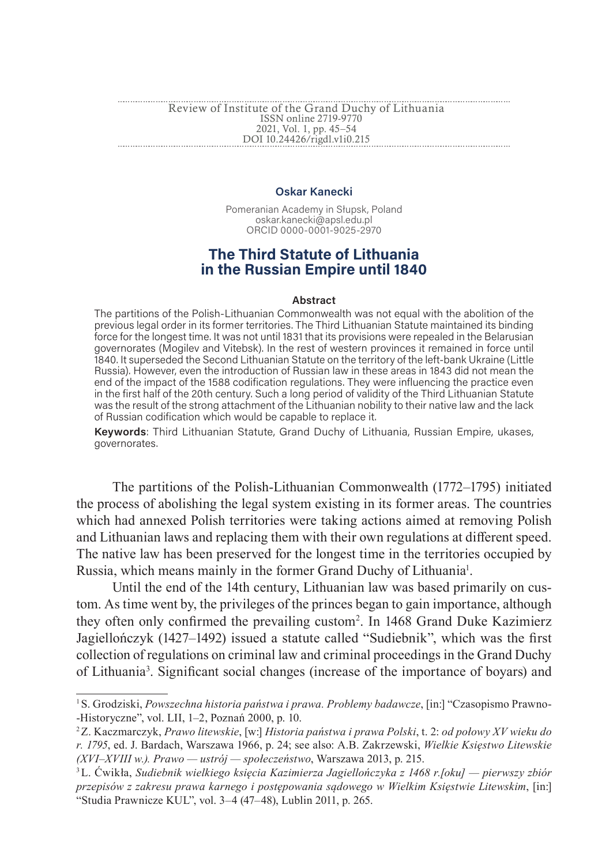# **Oskar Kanecki**

Pomeranian Academy in Słupsk, Poland oskar.kanecki@apsl.edu.pl ORCID 0000-0001-9025-2970

# **The Third Statute of Lithuania in the Russian Empire until 1840**

#### **Abstract**

The partitions of the Polish-Lithuanian Commonwealth was not equal with the abolition of the previous legal order in its former territories. The Third Lithuanian Statute maintained its binding force for the longest time. It was not until 1831 that its provisions were repealed in the Belarusian governorates (Mogilev and Vitebsk). In the rest of western provinces it remained in force until 1840. It superseded the Second Lithuanian Statute on the territory of the left-bank Ukraine (Little Russia). However, even the introduction of Russian law in these areas in 1843 did not mean the end of the impact of the 1588 codification regulations. They were influencing the practice even in the first half of the 20th century. Such a long period of validity of the Third Lithuanian Statute was the result of the strong attachment of the Lithuanian nobility to their native law and the lack of Russian codification which would be capable to replace it.

**Keywords**: Third Lithuanian Statute, Grand Duchy of Lithuania, Russian Empire, ukases, governorates.

The partitions of the Polish-Lithuanian Commonwealth (1772–1795) initiated the process of abolishing the legal system existing in its former areas. The countries which had annexed Polish territories were taking actions aimed at removing Polish and Lithuanian laws and replacing them with their own regulations at different speed. The native law has been preserved for the longest time in the territories occupied by Russia, which means mainly in the former Grand Duchy of Lithuania<sup>1</sup>.

Until the end of the 14th century, Lithuanian law was based primarily on custom. As time went by, the privileges of the princes began to gain importance, although they often only confirmed the prevailing custom<sup>2</sup> . In 1468 Grand Duke Kazimierz Jagiellończyk (1427–1492) issued a statute called "Sudiebnik", which was the first collection of regulations on criminal law and criminal proceedings in the Grand Duchy of Lithuania<sup>3</sup>. Significant social changes (increase of the importance of boyars) and

<sup>1</sup>S. Grodziski, *Powszechna historia państwa i prawa. Problemy badawcze*, [in:] "Czasopismo Prawno- -Historyczne", vol. LII, 1–2, Poznań 2000, p. 10.

<sup>2</sup>Z. Kaczmarczyk, *Prawo litewskie*, [w:] *Historia państwa i prawa Polski*, t. 2: *od połowy XV wieku do r. 1795*, ed. J. Bardach, Warszawa 1966, p. 24; see also: A.B. Zakrzewski, *Wielkie Księstwo Litewskie (XVI–XVIII w.). Prawo — ustrój — społeczeństwo*, Warszawa 2013, p. 215.

<sup>3</sup>L. Ćwikła, *Sudiebnik wielkiego księcia Kazimierza Jagiellończyka z 1468 r.[oku] — pierwszy zbiór przepisów z zakresu prawa karnego i postępowania sądowego w Wielkim Księstwie Litewskim*, [in:] "Studia Prawnicze KUL", vol. 3–4 (47–48), Lublin 2011, p. 265.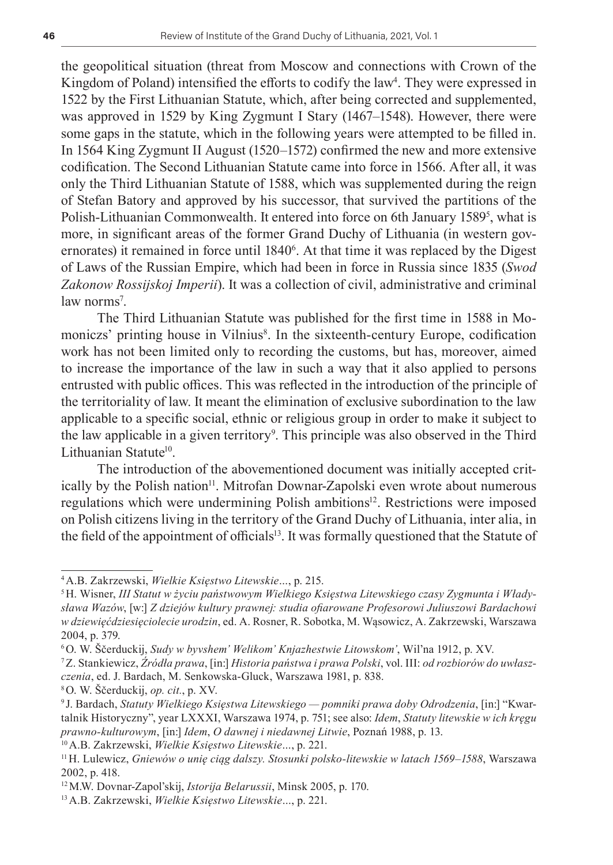the geopolitical situation (threat from Moscow and connections with Crown of the Kingdom of Poland) intensified the efforts to codify the law<sup>4</sup>. They were expressed in 1522 by the First Lithuanian Statute, which, after being corrected and supplemented, was approved in 1529 by King Zygmunt I Stary (1467–1548). However, there were some gaps in the statute, which in the following years were attempted to be filled in. In 1564 King Zygmunt II August (1520–1572) confirmed the new and more extensive codification. The Second Lithuanian Statute came into force in 1566. After all, it was only the Third Lithuanian Statute of 1588, which was supplemented during the reign of Stefan Batory and approved by his successor, that survived the partitions of the Polish-Lithuanian Commonwealth. It entered into force on 6th January 15895 , what is more, in significant areas of the former Grand Duchy of Lithuania (in western governorates) it remained in force until  $1840<sup>6</sup>$ . At that time it was replaced by the Digest of Laws of the Russian Empire, which had been in force in Russia since 1835 (*Swod Zakonow Rossijskoj Imperii*). It was a collection of civil, administrative and criminal law norms<sup>7</sup>.

The Third Lithuanian Statute was published for the first time in 1588 in Momoniczs' printing house in Vilnius<sup>8</sup>. In the sixteenth-century Europe, codification work has not been limited only to recording the customs, but has, moreover, aimed to increase the importance of the law in such a way that it also applied to persons entrusted with public offices. This was reflected in the introduction of the principle of the territoriality of law. It meant the elimination of exclusive subordination to the law applicable to a specific social, ethnic or religious group in order to make it subject to the law applicable in a given territory<sup>9</sup>. This principle was also observed in the Third Lithuanian Statute<sup>10</sup>.

The introduction of the abovementioned document was initially accepted critically by the Polish nation<sup>11</sup>. Mitrofan Downar-Zapolski even wrote about numerous regulations which were undermining Polish ambitions<sup>12</sup>. Restrictions were imposed on Polish citizens living in the territory of the Grand Duchy of Lithuania, inter alia, in the field of the appointment of officials<sup>13</sup>. It was formally questioned that the Statute of

<sup>4</sup>A.B. Zakrzewski, *Wielkie Księstwo Litewskie…*, p. 215.

<sup>5</sup>H. Wisner, *III Statut w życiu państwowym Wielkiego Księstwa Litewskiego czasy Zygmunta i Władysława Wazów*, [w:] *Z dziejów kultury prawnej: studia ofiarowane Profesorowi Juliuszowi Bardachowi w dziewięćdziesięciolecie urodzin*, ed. A. Rosner, R. Sobotka, M. Wąsowicz, A. Zakrzewski, Warszawa 2004, p. 379.

<sup>6</sup>O. W. Ščerduckij, *Sudy w byvshem' Welikom' Knjazhestwie Litowskom'*, Wil'na 1912, p. XV.

<sup>7</sup>Z. Stankiewicz, *Źródła prawa*, [in:] *Historia państwa i prawa Polski*, vol. III: *od rozbiorów do uwłaszczenia*, ed. J. Bardach, M. Senkowska-Gluck, Warszawa 1981, p. 838.

<sup>8</sup>O. W. Ščerduckij, *op. cit.*, p. XV.

<sup>9</sup> J. Bardach, *Statuty Wielkiego Księstwa Litewskiego — pomniki prawa doby Odrodzenia*, [in:] "Kwartalnik Historyczny", year LXXXI, Warszawa 1974, p. 751; see also: *Idem*, *Statuty litewskie w ich kręgu prawno-kulturowym*, [in:] *Idem*, *O dawnej i niedawnej Litwie*, Poznań 1988, p. 13.

<sup>10</sup>A.B. Zakrzewski, *Wielkie Księstwo Litewskie…*, p. 221.

<sup>11</sup>H. Lulewicz, *Gniewów o unię ciąg dalszy. Stosunki polsko-litewskie w latach 1569–1588*, Warszawa 2002, p. 418.

<sup>12</sup>M.W. Dovnar-Zapol'skij, *Istorija Belarussii*, Minsk 2005, p. 170.

<sup>13</sup>A.B. Zakrzewski, *Wielkie Księstwo Litewskie…*, p. 221.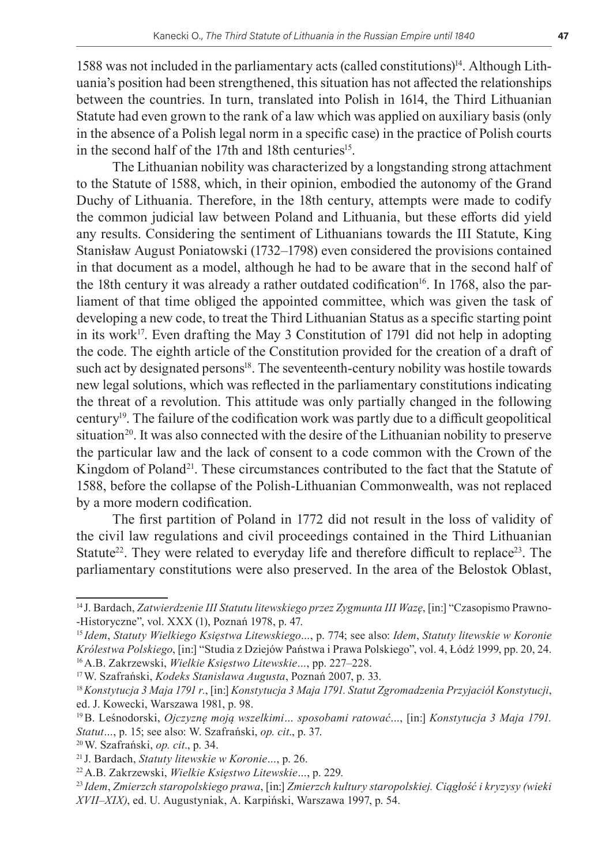1588 was not included in the parliamentary acts (called constitutions)14. Although Lithuania's position had been strengthened, this situation has not affected the relationships between the countries. In turn, translated into Polish in 1614, the Third Lithuanian Statute had even grown to the rank of a law which was applied on auxiliary basis (only in the absence of a Polish legal norm in a specific case) in the practice of Polish courts in the second half of the 17th and 18th centuries<sup>15</sup>.

The Lithuanian nobility was characterized by a longstanding strong attachment to the Statute of 1588, which, in their opinion, embodied the autonomy of the Grand Duchy of Lithuania. Therefore, in the 18th century, attempts were made to codify the common judicial law between Poland and Lithuania, but these efforts did yield any results. Considering the sentiment of Lithuanians towards the III Statute, King Stanisław August Poniatowski (1732–1798) even considered the provisions contained in that document as a model, although he had to be aware that in the second half of the 18th century it was already a rather outdated codification<sup>16</sup>. In 1768, also the parliament of that time obliged the appointed committee, which was given the task of developing a new code, to treat the Third Lithuanian Status as a specific starting point in its work<sup>17</sup>. Even drafting the May 3 Constitution of 1791 did not help in adopting the code. The eighth article of the Constitution provided for the creation of a draft of such act by designated persons<sup>18</sup>. The seventeenth-century nobility was hostile towards new legal solutions, which was reflected in the parliamentary constitutions indicating the threat of a revolution. This attitude was only partially changed in the following century19. The failure of the codification work was partly due to a difficult geopolitical situation<sup>20</sup>. It was also connected with the desire of the Lithuanian nobility to preserve the particular law and the lack of consent to a code common with the Crown of the Kingdom of Poland<sup>21</sup>. These circumstances contributed to the fact that the Statute of 1588, before the collapse of the Polish-Lithuanian Commonwealth, was not replaced by a more modern codification.

The first partition of Poland in 1772 did not result in the loss of validity of the civil law regulations and civil proceedings contained in the Third Lithuanian Statute<sup>22</sup>. They were related to everyday life and therefore difficult to replace<sup>23</sup>. The parliamentary constitutions were also preserved. In the area of the Belostok Oblast,

<sup>14</sup> J. Bardach, *Zatwierdzenie III Statutu litewskiego przez Zygmunta III Wazę*, [in:] "Czasopismo Prawno- -Historyczne", vol. XXX (1), Poznań 1978, p. 47.

<sup>15</sup> *Idem*, *Statuty Wielkiego Księstwa Litewskiego…*, p. 774; see also: *Idem*, *Statuty litewskie w Koronie Królestwa Polskiego*, [in:] "Studia z Dziejów Państwa i Prawa Polskiego", vol. 4, Łódź 1999, pp. 20, 24. 16A.B. Zakrzewski, *Wielkie Księstwo Litewskie…*, pp. 227–228.

<sup>17</sup>W. Szafrański, *Kodeks Stanisława Augusta*, Poznań 2007, p. 33.

<sup>18</sup>*Konstytucja 3 Maja 1791 r.*, [in:] *Konstytucja 3 Maja 1791. Statut Zgromadzenia Przyjaciół Konstytucji*, ed. J. Kowecki, Warszawa 1981, p. 98.

<sup>19</sup>B. Leśnodorski, *Ojczyznę moją wszelkimi… sposobami ratować…*, [in:] *Konstytucja 3 Maja 1791. Statut…*, p. 15; see also: W. Szafrański, *op. cit*., p. 37.

<sup>20</sup>W. Szafrański, *op. cit*., p. 34.

<sup>21</sup> J. Bardach, *Statuty litewskie w Koronie…*, p. 26.

<sup>22</sup>A.B. Zakrzewski, *Wielkie Księstwo Litewskie…*, p. 229.

<sup>23</sup> *Idem*, *Zmierzch staropolskiego prawa*, [in:] *Zmierzch kultury staropolskiej. Ciągłość i kryzysy (wieki XVII–XIX)*, ed. U. Augustyniak, A. Karpiński, Warszawa 1997, p. 54.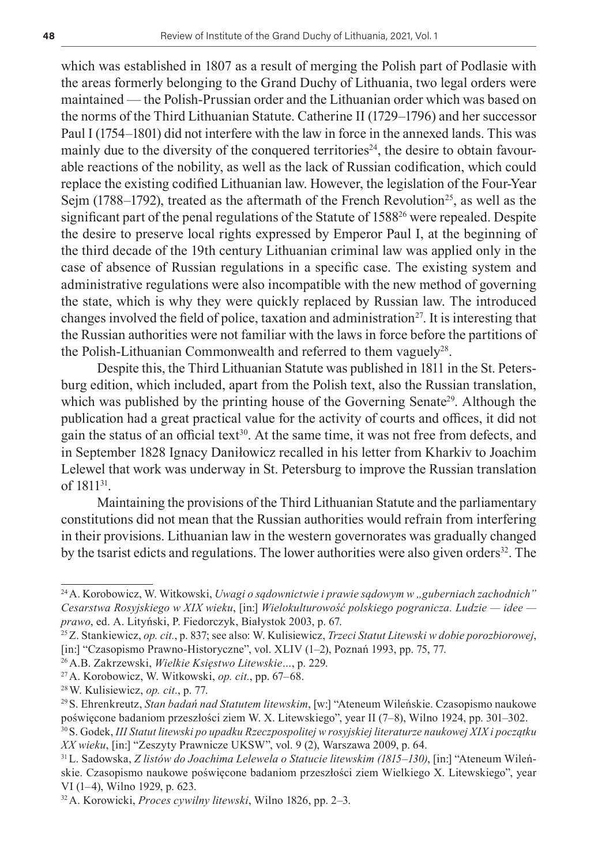which was established in 1807 as a result of merging the Polish part of Podlasie with the areas formerly belonging to the Grand Duchy of Lithuania, two legal orders were maintained — the Polish-Prussian order and the Lithuanian order which was based on the norms of the Third Lithuanian Statute. Catherine II (1729–1796) and her successor Paul I (1754–1801) did not interfere with the law in force in the annexed lands. This was mainly due to the diversity of the conquered territories<sup>24</sup>, the desire to obtain favourable reactions of the nobility, as well as the lack of Russian codification, which could replace the existing codified Lithuanian law. However, the legislation of the Four-Year Sejm (1788–1792), treated as the aftermath of the French Revolution<sup>25</sup>, as well as the significant part of the penal regulations of the Statute of 1588<sup>26</sup> were repealed. Despite the desire to preserve local rights expressed by Emperor Paul I, at the beginning of the third decade of the 19th century Lithuanian criminal law was applied only in the case of absence of Russian regulations in a specific case. The existing system and administrative regulations were also incompatible with the new method of governing the state, which is why they were quickly replaced by Russian law. The introduced changes involved the field of police, taxation and administration<sup>27</sup>. It is interesting that the Russian authorities were not familiar with the laws in force before the partitions of the Polish-Lithuanian Commonwealth and referred to them vaguely $28$ .

Despite this, the Third Lithuanian Statute was published in 1811 in the St. Petersburg edition, which included, apart from the Polish text, also the Russian translation, which was published by the printing house of the Governing Senate<sup>29</sup>. Although the publication had a great practical value for the activity of courts and offices, it did not gain the status of an official text<sup>30</sup>. At the same time, it was not free from defects, and in September 1828 Ignacy Daniłowicz recalled in his letter from Kharkiv to Joachim Lelewel that work was underway in St. Petersburg to improve the Russian translation of 1811<sup>31</sup>.

Maintaining the provisions of the Third Lithuanian Statute and the parliamentary constitutions did not mean that the Russian authorities would refrain from interfering in their provisions. Lithuanian law in the western governorates was gradually changed by the tsarist edicts and regulations. The lower authorities were also given orders<sup>32</sup>. The

<sup>&</sup>lt;sup>24</sup> A. Korobowicz, W. Witkowski, *Uwagi o sądownictwie i prawie sądowym w "guberniach zachodnich" Cesarstwa Rosyjskiego w XIX wieku*, [in:] *Wielokulturowość polskiego pogranicza. Ludzie — idee prawo*, ed. A. Lityński, P. Fiedorczyk, Białystok 2003, p. 67.

<sup>25</sup>Z. Stankiewicz, *op. cit.*, p. 837; see also: W. Kulisiewicz, *Trzeci Statut Litewski w dobie porozbiorowej*, [in:] "Czasopismo Prawno-Historyczne", vol. XLIV (1–2), Poznań 1993, pp. 75, 77.

<sup>26</sup>A.B. Zakrzewski, *Wielkie Księstwo Litewskie…*, p. 229.

<sup>27</sup>A. Korobowicz, W. Witkowski, *op. cit.*, pp. 67–68.

<sup>28</sup>W. Kulisiewicz, *op. cit.*, p. 77.

<sup>29</sup>S. Ehrenkreutz, *Stan badań nad Statutem litewskim*, [w:] "Ateneum Wileńskie. Czasopismo naukowe poświęcone badaniom przeszłości ziem W. X. Litewskiego", year II (7–8), Wilno 1924, pp. 301–302.

<sup>30</sup>S. Godek, *III Statut litewski po upadku Rzeczpospolitej w rosyjskiej literaturze naukowej XIX i początku XX wieku*, [in:] "Zeszyty Prawnicze UKSW", vol. 9 (2), Warszawa 2009, p. 64.

<sup>31</sup>L. Sadowska, *Z listów do Joachima Lelewela o Statucie litewskim (1815–130)*, [in:] "Ateneum Wileńskie. Czasopismo naukowe poświęcone badaniom przeszłości ziem Wielkiego X. Litewskiego", year VI (1–4), Wilno 1929, p. 623.

<sup>32</sup>A. Korowicki, *Proces cywilny litewski*, Wilno 1826, pp. 2–3.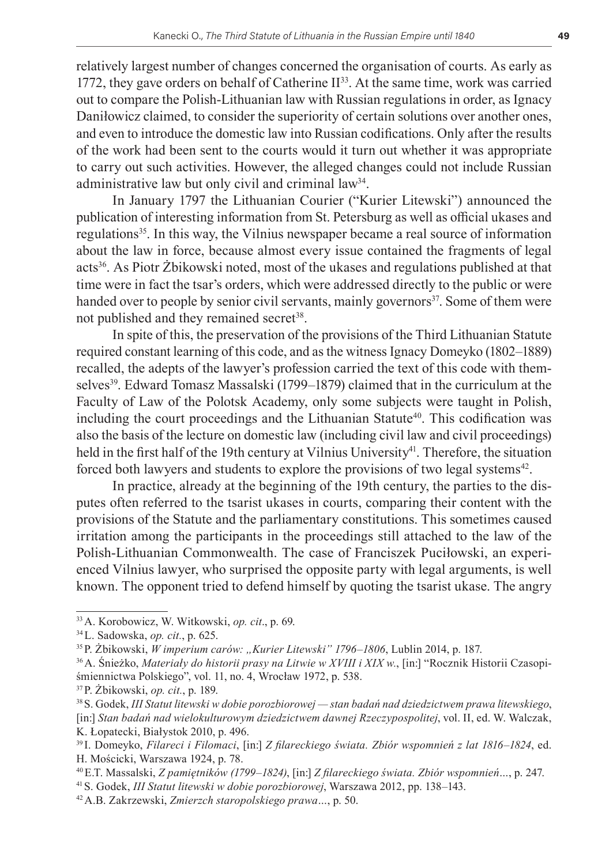relatively largest number of changes concerned the organisation of courts. As early as 1772, they gave orders on behalf of Catherine  $II^{33}$ . At the same time, work was carried out to compare the Polish-Lithuanian law with Russian regulations in order, as Ignacy Daniłowicz claimed, to consider the superiority of certain solutions over another ones, and even to introduce the domestic law into Russian codifications. Only after the results of the work had been sent to the courts would it turn out whether it was appropriate to carry out such activities. However, the alleged changes could not include Russian administrative law but only civil and criminal law34.

In January 1797 the Lithuanian Courier ("Kurier Litewski") announced the publication of interesting information from St. Petersburg as well as official ukases and regulations35. In this way, the Vilnius newspaper became a real source of information about the law in force, because almost every issue contained the fragments of legal acts36. As Piotr Żbikowski noted, most of the ukases and regulations published at that time were in fact the tsar's orders, which were addressed directly to the public or were handed over to people by senior civil servants, mainly governors<sup>37</sup>. Some of them were not published and they remained secret<sup>38</sup>.

In spite of this, the preservation of the provisions of the Third Lithuanian Statute required constant learning of this code, and as the witness Ignacy Domeyko (1802–1889) recalled, the adepts of the lawyer's profession carried the text of this code with themselves39. Edward Tomasz Massalski (1799–1879) claimed that in the curriculum at the Faculty of Law of the Polotsk Academy, only some subjects were taught in Polish, including the court proceedings and the Lithuanian Statute<sup>40</sup>. This codification was also the basis of the lecture on domestic law (including civil law and civil proceedings) held in the first half of the 19th century at Vilnius University<sup>41</sup>. Therefore, the situation forced both lawyers and students to explore the provisions of two legal systems<sup>42</sup>.

In practice, already at the beginning of the 19th century, the parties to the disputes often referred to the tsarist ukases in courts, comparing their content with the provisions of the Statute and the parliamentary constitutions. This sometimes caused irritation among the participants in the proceedings still attached to the law of the Polish-Lithuanian Commonwealth. The case of Franciszek Puciłowski, an experienced Vilnius lawyer, who surprised the opposite party with legal arguments, is well known. The opponent tried to defend himself by quoting the tsarist ukase. The angry

<sup>33</sup>A. Korobowicz, W. Witkowski, *op. cit*., p. 69.

<sup>34</sup>L. Sadowska, *op. cit.*, p. 625.

<sup>35</sup>P. Żbikowski, *W imperium carów: "Kurier Litewski" 1796–1806*, Lublin 2014, p. 187.

<sup>36</sup>A. Śnieżko, *Materiały do historii prasy na Litwie w XVIII i XIX w.*, [in:] "Rocznik Historii Czasopiśmiennictwa Polskiego", vol. 11, no. 4, Wrocław 1972, p. 538.

<sup>37</sup>P. Żbikowski, *op. cit.*, p. 189.

<sup>38</sup>S. Godek, *III Statut litewski w dobie porozbiorowej — stan badań nad dziedzictwem prawa litewskiego*, [in:] *Stan badań nad wielokulturowym dziedzictwem dawnej Rzeczypospolitej*, vol. II, ed. W. Walczak, K. Łopatecki, Białystok 2010, p. 496.

<sup>39</sup> I. Domeyko, *Filareci i Filomaci*, [in:] *Z filareckiego świata. Zbiór wspomnień z lat 1816–1824*, ed. H. Mościcki, Warszawa 1924, p. 78.

<sup>40</sup>E.T. Massalski, *Z pamiętników (1799–1824)*, [in:] *Z filareckiego świata. Zbiór wspomnień…*, p. 247.

<sup>41</sup>S. Godek, *III Statut litewski w dobie porozbiorowej*, Warszawa 2012, pp. 138–143.

<sup>42</sup>A.B. Zakrzewski, *Zmierzch staropolskiego prawa…*, p. 50.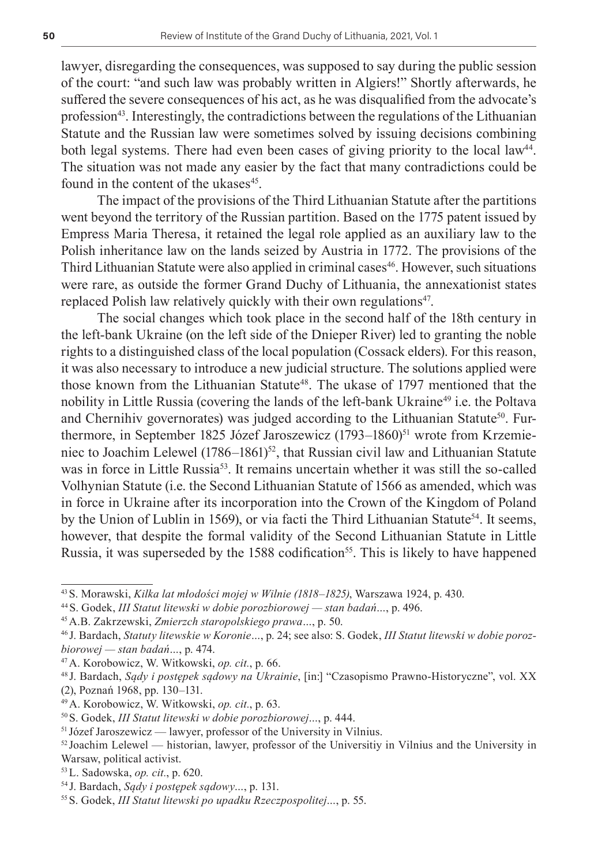lawyer, disregarding the consequences, was supposed to say during the public session of the court: "and such law was probably written in Algiers!" Shortly afterwards, he suffered the severe consequences of his act, as he was disqualified from the advocate's profession<sup>43</sup>. Interestingly, the contradictions between the regulations of the Lithuanian Statute and the Russian law were sometimes solved by issuing decisions combining both legal systems. There had even been cases of giving priority to the local law<sup>44</sup>. The situation was not made any easier by the fact that many contradictions could be found in the content of the ukases<sup>45</sup>.

The impact of the provisions of the Third Lithuanian Statute after the partitions went beyond the territory of the Russian partition. Based on the 1775 patent issued by Empress Maria Theresa, it retained the legal role applied as an auxiliary law to the Polish inheritance law on the lands seized by Austria in 1772. The provisions of the Third Lithuanian Statute were also applied in criminal cases<sup>46</sup>. However, such situations were rare, as outside the former Grand Duchy of Lithuania, the annexationist states replaced Polish law relatively quickly with their own regulations<sup>47</sup>.

The social changes which took place in the second half of the 18th century in the left-bank Ukraine (on the left side of the Dnieper River) led to granting the noble rights to a distinguished class of the local population (Cossack elders). For this reason, it was also necessary to introduce a new judicial structure. The solutions applied were those known from the Lithuanian Statute<sup>48</sup>. The ukase of 1797 mentioned that the nobility in Little Russia (covering the lands of the left-bank Ukraine<sup>49</sup> i.e. the Poltava and Chernihiv governorates) was judged according to the Lithuanian Statute<sup>50</sup>. Furthermore, in September 1825 Józef Jaroszewicz (1793–1860)<sup>51</sup> wrote from Krzemieniec to Joachim Lelewel (1786–1861)<sup>52</sup>, that Russian civil law and Lithuanian Statute was in force in Little Russia<sup>53</sup>. It remains uncertain whether it was still the so-called Volhynian Statute (i.e. the Second Lithuanian Statute of 1566 as amended, which was in force in Ukraine after its incorporation into the Crown of the Kingdom of Poland by the Union of Lublin in 1569), or via facti the Third Lithuanian Statute<sup>54</sup>. It seems, however, that despite the formal validity of the Second Lithuanian Statute in Little Russia, it was superseded by the 1588 codification<sup>55</sup>. This is likely to have happened

<sup>43</sup>S. Morawski, *Kilka lat młodości mojej w Wilnie (1818–1825)*, Warszawa 1924, p. 430.

<sup>44</sup>S. Godek, *III Statut litewski w dobie porozbiorowej — stan badań…*, p. 496.

<sup>45</sup>A.B. Zakrzewski, *Zmierzch staropolskiego prawa…*, p. 50.

<sup>46</sup> J. Bardach, *Statuty litewskie w Koronie…*, p. 24; see also: S. Godek, *III Statut litewski w dobie porozbiorowej — stan badań…*, p. 474.

<sup>47</sup>A. Korobowicz, W. Witkowski, *op. cit.*, p. 66.

<sup>48</sup> J. Bardach, *Sądy i postępek sądowy na Ukrainie*, [in:] "Czasopismo Prawno-Historyczne", vol. XX (2), Poznań 1968, pp. 130–131.

<sup>49</sup>A. Korobowicz, W. Witkowski, *op. cit.*, p. 63.

<sup>50</sup>S. Godek, *III Statut litewski w dobie porozbiorowej…*, p. 444.

<sup>51</sup> Józef Jaroszewicz — lawyer, professor of the University in Vilnius.

 $52$  Joachim Lelewel — historian, lawyer, professor of the Universitiy in Vilnius and the University in Warsaw, political activist.

<sup>53</sup>L. Sadowska, *op. cit.*, p. 620.

<sup>54</sup> J. Bardach, *Sądy i postępek sądowy…*, p. 131.

<sup>55</sup>S. Godek, *III Statut litewski po upadku Rzeczpospolitej…*, p. 55.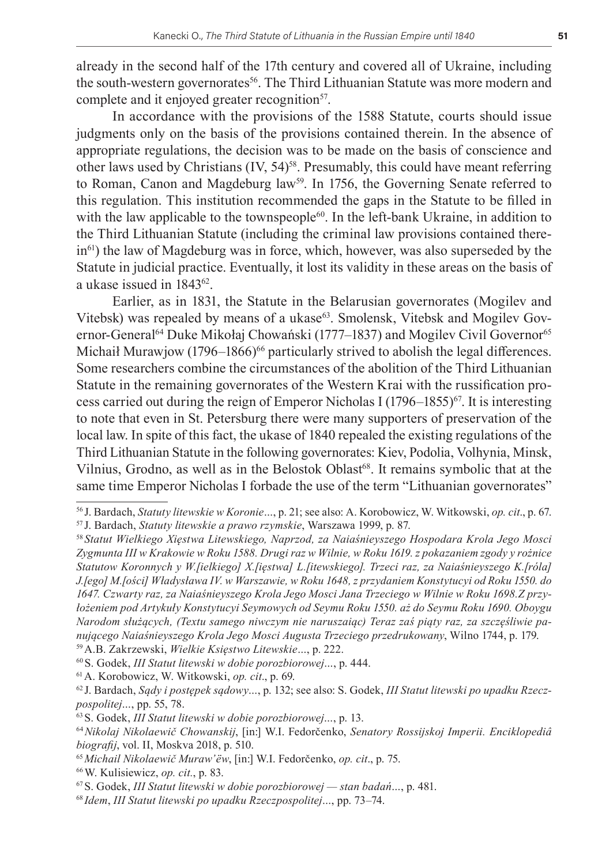already in the second half of the 17th century and covered all of Ukraine, including the south-western governorates<sup>56</sup>. The Third Lithuanian Statute was more modern and complete and it enjoyed greater recognition<sup>57</sup>.

In accordance with the provisions of the 1588 Statute, courts should issue judgments only on the basis of the provisions contained therein. In the absence of appropriate regulations, the decision was to be made on the basis of conscience and other laws used by Christians (IV, 54)<sup>58</sup>. Presumably, this could have meant referring to Roman, Canon and Magdeburg law<sup>59</sup>. In 1756, the Governing Senate referred to this regulation. This institution recommended the gaps in the Statute to be filled in with the law applicable to the townspeople<sup>60</sup>. In the left-bank Ukraine, in addition to the Third Lithuanian Statute (including the criminal law provisions contained therein<sup>61</sup>) the law of Magdeburg was in force, which, however, was also superseded by the Statute in judicial practice. Eventually, it lost its validity in these areas on the basis of a ukase issued in 1843<sup>62</sup>.

Earlier, as in 1831, the Statute in the Belarusian governorates (Mogilev and Vitebsk) was repealed by means of a ukase<sup>63</sup>. Smolensk, Vitebsk and Mogilev Governor-General<sup>64</sup> Duke Mikołaj Chowański (1777–1837) and Mogilev Civil Governor<sup>65</sup> Michaił Murawjow (1796–1866)<sup>66</sup> particularly strived to abolish the legal differences. Some researchers combine the circumstances of the abolition of the Third Lithuanian Statute in the remaining governorates of the Western Krai with the russification process carried out during the reign of Emperor Nicholas I (1796–1855)<sup>67</sup>. It is interesting to note that even in St. Petersburg there were many supporters of preservation of the local law. In spite of this fact, the ukase of 1840 repealed the existing regulations of the Third Lithuanian Statute in the following governorates: Kiev, Podolia, Volhynia, Minsk, Vilnius, Grodno, as well as in the Belostok Oblast<sup>68</sup>. It remains symbolic that at the same time Emperor Nicholas I forbade the use of the term "Lithuanian governorates"

60S. Godek, *III Statut litewski w dobie porozbiorowej…*, p. 444.

61A. Korobowicz, W. Witkowski, *op. cit*., p. 69.

<sup>56</sup> J. Bardach, *Statuty litewskie w Koronie…*, p. 21; see also: A. Korobowicz, W. Witkowski, *op. cit*., p. 67.

<sup>57</sup> J. Bardach, *Statuty litewskie a prawo rzymskie*, Warszawa 1999, p. 87.

<sup>58</sup> *Statut Wielkiego Xięstwa Litewskiego, Naprzod, za Naiaśnieyszego Hospodara Krola Jego Mosci Zygmunta III w Krakowie w Roku 1588. Drugi raz w Wilnie, w Roku 1619. z pokazaniem zgody y rożnice Statutow Koronnych y W.[ielkiego] X.[ięstwa] L.[itewskiego]. Trzeci raz, za Naiaśnieyszego K.[róla] J.[ego] M.[ości] Władysława IV. w Warszawie, w Roku 1648, z przydaniem Konstytucyi od Roku 1550. do 1647. Czwarty raz, za Naiaśnieyszego Krola Jego Mosci Jana Trzeciego w Wilnie w Roku 1698.Z przyłożeniem pod Artykuły Konstytucyi Seymowych od Seymu Roku 1550. aż do Seymu Roku 1690. Oboygu Narodom służących, (Textu samego niwczym nie naruszaiąc) Teraz zaś piąty raz, za szczęśliwie panującego Naiaśnieyszego Krola Jego Mosci Augusta Trzeciego przedrukowany*, Wilno 1744, p. 179. 59A.B. Zakrzewski, *Wielkie Księstwo Litewskie…*, p. 222.

<sup>62</sup> J. Bardach, *Sądy i postępek sądowy…*, p. 132; see also: S. Godek, *III Statut litewski po upadku Rzeczpospolitej…*, pp. 55, 78.

<sup>63</sup>S. Godek, *III Statut litewski w dobie porozbiorowej…*, p. 13.

<sup>64</sup>*Nikolaj Nikolaewič Chowanskij*, [in:] W.I. Fedorčenko, *Senatory Rossijskoj Imperii. Enciklopediâ biografij*, vol. II, Moskva 2018, p. 510.

<sup>65</sup>*Michail Nikolaewič Muraw'ëw*, [in:] W.I. Fedorčenko, *op. cit*., p. 75.

<sup>66</sup>W. Kulisiewicz, *op. cit.*, p. 83.

<sup>67</sup>S. Godek, *III Statut litewski w dobie porozbiorowej — stan badań…*, p. 481.

<sup>68</sup> *Idem*, *III Statut litewski po upadku Rzeczpospolitej…*, pp. 73–74.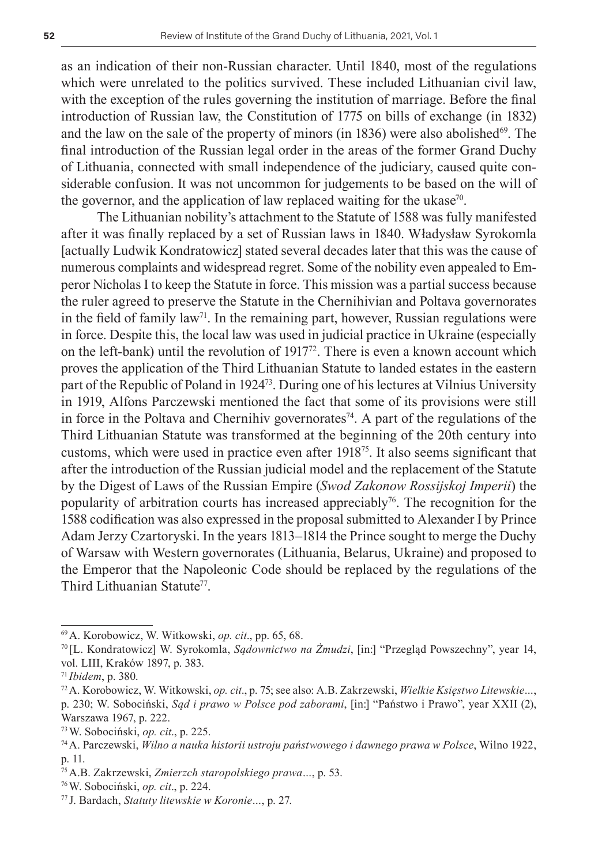as an indication of their non-Russian character. Until 1840, most of the regulations which were unrelated to the politics survived. These included Lithuanian civil law, with the exception of the rules governing the institution of marriage. Before the final introduction of Russian law, the Constitution of 1775 on bills of exchange (in 1832) and the law on the sale of the property of minors (in  $1836$ ) were also abolished<sup>69</sup>. The final introduction of the Russian legal order in the areas of the former Grand Duchy of Lithuania, connected with small independence of the judiciary, caused quite considerable confusion. It was not uncommon for judgements to be based on the will of the governor, and the application of law replaced waiting for the ukase<sup>70</sup>.

The Lithuanian nobility's attachment to the Statute of 1588 was fully manifested after it was finally replaced by a set of Russian laws in 1840. Władysław Syrokomla [actually Ludwik Kondratowicz] stated several decades later that this was the cause of numerous complaints and widespread regret. Some of the nobility even appealed to Emperor Nicholas I to keep the Statute in force. This mission was a partial success because the ruler agreed to preserve the Statute in the Chernihivian and Poltava governorates in the field of family law<sup>71</sup>. In the remaining part, however, Russian regulations were in force. Despite this, the local law was used in judicial practice in Ukraine (especially on the left-bank) until the revolution of 191772. There is even a known account which proves the application of the Third Lithuanian Statute to landed estates in the eastern part of the Republic of Poland in 192473. During one of his lectures at Vilnius University in 1919, Alfons Parczewski mentioned the fact that some of its provisions were still in force in the Poltava and Chernihiv governorates<sup>74</sup>. A part of the regulations of the Third Lithuanian Statute was transformed at the beginning of the 20th century into customs, which were used in practice even after 191875. It also seems significant that after the introduction of the Russian judicial model and the replacement of the Statute by the Digest of Laws of the Russian Empire (*Swod Zakonow Rossijskoj Imperii*) the popularity of arbitration courts has increased appreciably<sup>76</sup>. The recognition for the 1588 codification was also expressed in the proposal submitted to Alexander I by Prince Adam Jerzy Czartoryski. In the years 1813–1814 the Prince sought to merge the Duchy of Warsaw with Western governorates (Lithuania, Belarus, Ukraine) and proposed to the Emperor that the Napoleonic Code should be replaced by the regulations of the Third Lithuanian Statute<sup>77</sup>.

<sup>69</sup>A. Korobowicz, W. Witkowski, *op. cit*., pp. 65, 68.

<sup>70</sup> [L. Kondratowicz] W. Syrokomla, *Sądownictwo na Żmudzi*, [in:] "Przegląd Powszechny", year 14, vol. LIII, Kraków 1897, p. 383.

<sup>71</sup> *Ibidem*, p. 380.

<sup>72</sup>A. Korobowicz, W. Witkowski, *op. cit*., p. 75; see also: A.B. Zakrzewski, *Wielkie Księstwo Litewskie…*, p. 230; W. Sobociński, *Sąd i prawo w Polsce pod zaborami*, [in:] "Państwo i Prawo", year XXII (2), Warszawa 1967, p. 222.

<sup>73</sup>W. Sobociński, *op. cit*., p. 225.

<sup>74</sup>A. Parczewski, *Wilno a nauka historii ustroju państwowego i dawnego prawa w Polsce*, Wilno 1922, p. 11.

<sup>75</sup>A.B. Zakrzewski, *Zmierzch staropolskiego prawa…*, p. 53.

<sup>76</sup>W. Sobociński, *op. cit*., p. 224.

<sup>77</sup> J. Bardach, *Statuty litewskie w Koronie…*, p. 27.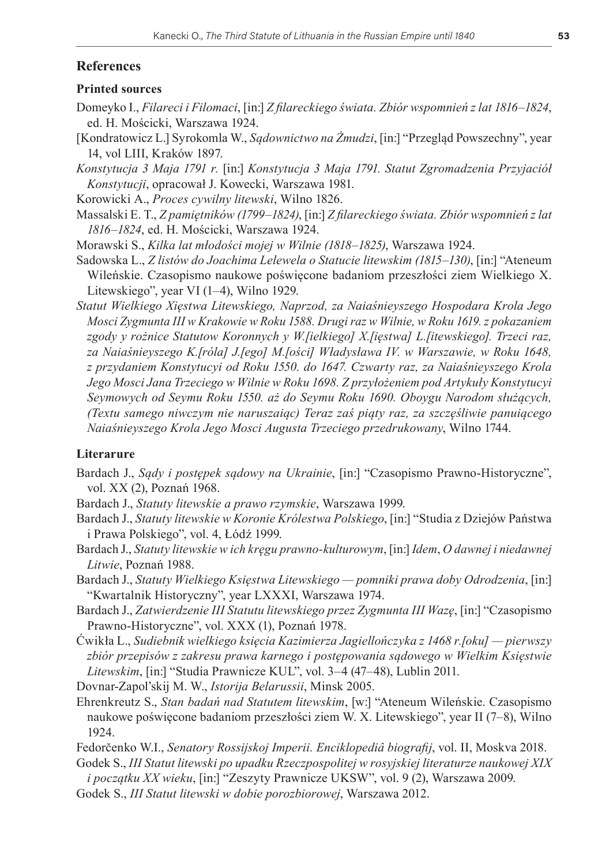# **References**

### **Printed sources**

- Domeyko I., *Filareci i Filomaci*, [in:] *Z filareckiego świata. Zbiór wspomnień z lat 1816–1824*, ed. H. Mościcki, Warszawa 1924.
- [Kondratowicz L.] Syrokomla W., *Sądownictwo na Żmudzi*, [in:] "Przegląd Powszechny", year 14, vol LIII, Kraków 1897.
- *Konstytucja 3 Maja 1791 r.* [in:] *Konstytucja 3 Maja 1791. Statut Zgromadzenia Przyjaciół Konstytucji*, opracował J. Kowecki, Warszawa 1981.
- Korowicki A., *Proces cywilny litewski*, Wilno 1826.
- Massalski E. T., *Z pamiętników (1799–1824)*, [in:] *Z filareckiego świata. Zbiór wspomnień z lat 1816–1824*, ed. H. Mościcki, Warszawa 1924.
- Morawski S., *Kilka lat młodości mojej w Wilnie (1818–1825)*, Warszawa 1924.
- Sadowska L., *Z listów do Joachima Lelewela o Statucie litewskim (1815–130)*, [in:] "Ateneum Wileńskie. Czasopismo naukowe poświęcone badaniom przeszłości ziem Wielkiego X. Litewskiego", year VI (1–4), Wilno 1929.
- *Statut Wielkiego Xięstwa Litewskiego, Naprzod, za Naiaśnieyszego Hospodara Krola Jego Mosci Zygmunta III w Krakowie w Roku 1588. Drugi raz w Wilnie, w Roku 1619. z pokazaniem zgody y rożnice Statutow Koronnych y W.[ielkiego] X.[ięstwa] L.[itewskiego]. Trzeci raz, za Naiaśnieyszego K.[róla] J.[ego] M.[ości] Władysława IV. w Warszawie, w Roku 1648, z przydaniem Konstytucyi od Roku 1550. do 1647. Czwarty raz, za Naiaśnieyszego Krola Jego Mosci Jana Trzeciego w Wilnie w Roku 1698. Z przyłożeniem pod Artykuły Konstytucyi Seymowych od Seymu Roku 1550. aż do Seymu Roku 1690. Oboygu Narodom służących, (Textu samego niwczym nie naruszaiąc) Teraz zaś piąty raz, za szczęśliwie panuiącego Naiaśnieyszego Krola Jego Mosci Augusta Trzeciego przedrukowany*, Wilno 1744.

# **Literarure**

- Bardach J., *Sądy i postępek sądowy na Ukrainie*, [in:] "Czasopismo Prawno-Historyczne", vol. XX (2), Poznań 1968.
- Bardach J., *Statuty litewskie a prawo rzymskie*, Warszawa 1999.
- Bardach J., *Statuty litewskie w Koronie Królestwa Polskiego*, [in:] "Studia z Dziejów Państwa i Prawa Polskiego", vol. 4, Łódź 1999.
- Bardach J., *Statuty litewskie w ich kręgu prawno-kulturowym*, [in:] *Idem*, *O dawnej i niedawnej Litwie*, Poznań 1988.
- Bardach J., *Statuty Wielkiego Księstwa Litewskiego pomniki prawa doby Odrodzenia*, [in:] "Kwartalnik Historyczny", year LXXXI, Warszawa 1974.
- Bardach J., *Zatwierdzenie III Statutu litewskiego przez Zygmunta III Wazę*, [in:] "Czasopismo Prawno-Historyczne", vol. XXX (1), Poznań 1978.
- Ćwikła L., *Sudiebnik wielkiego księcia Kazimierza Jagiellończyka z 1468 r.[oku] pierwszy zbiór przepisów z zakresu prawa karnego i postępowania sądowego w Wielkim Księstwie Litewskim*, [in:] "Studia Prawnicze KUL", vol. 3–4 (47–48), Lublin 2011.
- Dovnar-Zapol'skij M. W., *Istorija Belarussii*, Minsk 2005.
- Ehrenkreutz S., *Stan badań nad Statutem litewskim*, [w:] "Ateneum Wileńskie. Czasopismo naukowe poświęcone badaniom przeszłości ziem W. X. Litewskiego", year II (7–8), Wilno 1924.
- Fedorčenko W.I., *Senatory Rossijskoj Imperii. Enciklopediâ biografij*, vol. II, Moskva 2018.
- Godek S., *III Statut litewski po upadku Rzeczpospolitej w rosyjskiej literaturze naukowej XIX i początku XX wieku*, [in:] "Zeszyty Prawnicze UKSW", vol. 9 (2), Warszawa 2009.
- Godek S., *III Statut litewski w dobie porozbiorowej*, Warszawa 2012.